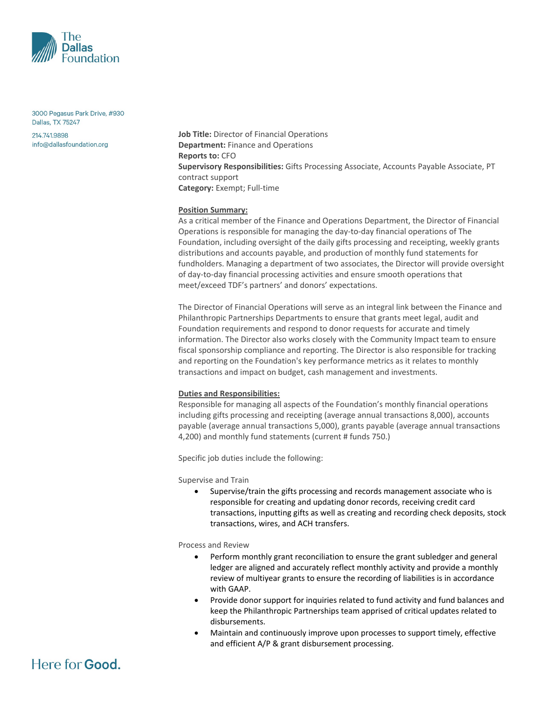

3000 Pegasus Park Drive, #930 Dallas, TX 75247

214.741.9898 info@dallasfoundation.org **Job Title:** Director of Financial Operations **Department:** Finance and Operations **Reports to:** CFO **Supervisory Responsibilities:** Gifts Processing Associate, Accounts Payable Associate, PT contract support **Category:** Exempt; Full‐time

## **Position Summary:**

As a critical member of the Finance and Operations Department, the Director of Financial Operations is responsible for managing the day‐to‐day financial operations of The Foundation, including oversight of the daily gifts processing and receipting, weekly grants distributions and accounts payable, and production of monthly fund statements for fundholders. Managing a department of two associates, the Director will provide oversight of day‐to‐day financial processing activities and ensure smooth operations that meet/exceed TDF's partners' and donors' expectations.

The Director of Financial Operations will serve as an integral link between the Finance and Philanthropic Partnerships Departments to ensure that grants meet legal, audit and Foundation requirements and respond to donor requests for accurate and timely information. The Director also works closely with the Community Impact team to ensure fiscal sponsorship compliance and reporting. The Director is also responsible for tracking and reporting on the Foundation's key performance metrics as it relates to monthly transactions and impact on budget, cash management and investments.

### **Duties and Responsibilities:**

Responsible for managing all aspects of the Foundation's monthly financial operations including gifts processing and receipting (average annual transactions 8,000), accounts payable (average annual transactions 5,000), grants payable (average annual transactions 4,200) and monthly fund statements (current # funds 750.)

Specific job duties include the following:

Supervise and Train

• Supervise/train the gifts processing and records management associate who is responsible for creating and updating donor records, receiving credit card transactions, inputting gifts as well as creating and recording check deposits, stock transactions, wires, and ACH transfers.

Process and Review

- Perform monthly grant reconciliation to ensure the grant subledger and general ledger are aligned and accurately reflect monthly activity and provide a monthly review of multiyear grants to ensure the recording of liabilities is in accordance with GAAP.
- Provide donor support for inquiries related to fund activity and fund balances and keep the Philanthropic Partnerships team apprised of critical updates related to disbursements.
- Maintain and continuously improve upon processes to support timely, effective and efficient A/P & grant disbursement processing.

# Here for **Good**.